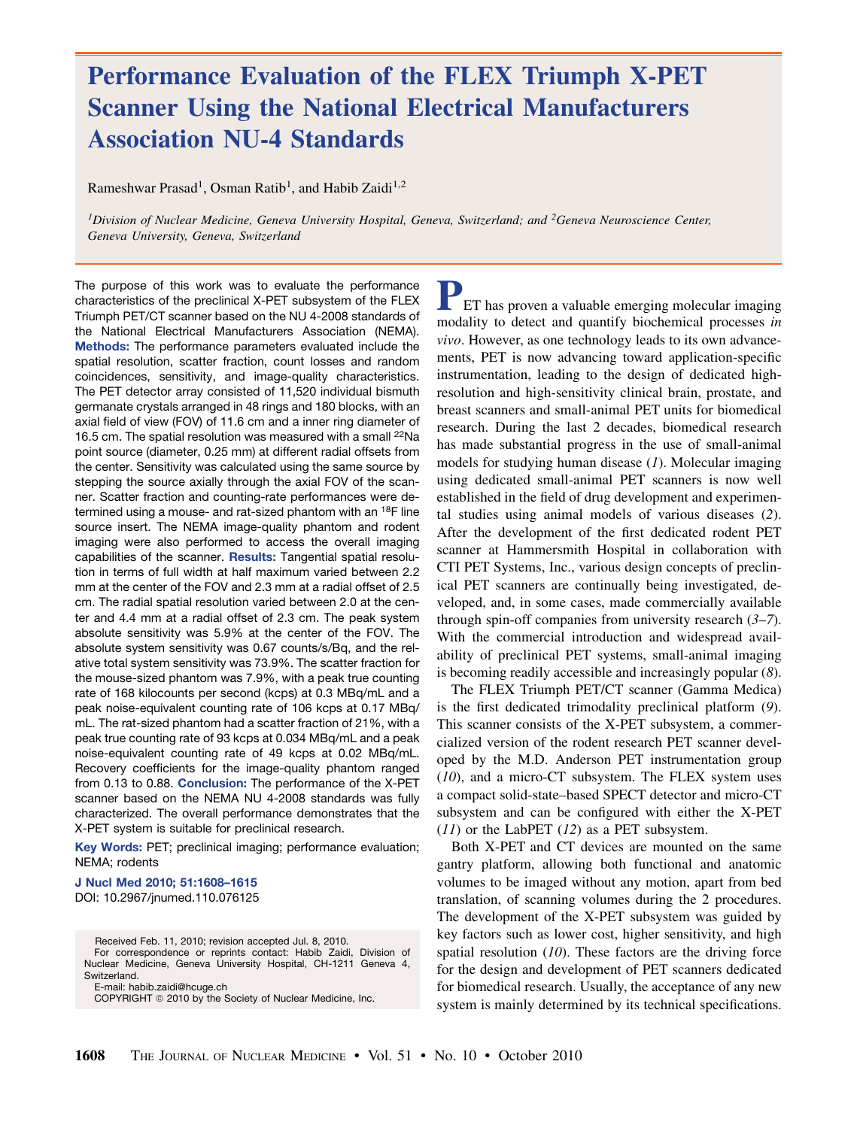# Performance Evaluation of the FLEX Triumph X-PET Scanner Using the National Electrical Manufacturers Association NU-4 Standards

Rameshwar Prasad<sup>1</sup>, Osman Ratib<sup>1</sup>, and Habib Zaidi<sup>1,2</sup>

<sup>1</sup>Division of Nuclear Medicine, Geneva University Hospital, Geneva, Switzerland; and <sup>2</sup>Geneva Neuroscience Center, Geneva University, Geneva, Switzerland

The purpose of this work was to evaluate the performance characteristics of the preclinical X-PET subsystem of the FLEX Triumph PET/CT scanner based on the NU 4-2008 standards of the National Electrical Manufacturers Association (NEMA). Methods: The performance parameters evaluated include the spatial resolution, scatter fraction, count losses and random coincidences, sensitivity, and image-quality characteristics. The PET detector array consisted of 11,520 individual bismuth germanate crystals arranged in 48 rings and 180 blocks, with an axial field of view (FOV) of 11.6 cm and a inner ring diameter of 16.5 cm. The spatial resolution was measured with a small 22Na point source (diameter, 0.25 mm) at different radial offsets from the center. Sensitivity was calculated using the same source by stepping the source axially through the axial FOV of the scanner. Scatter fraction and counting-rate performances were determined using a mouse- and rat-sized phantom with an <sup>18</sup>F line source insert. The NEMA image-quality phantom and rodent imaging were also performed to access the overall imaging capabilities of the scanner. Results: Tangential spatial resolution in terms of full width at half maximum varied between 2.2 mm at the center of the FOV and 2.3 mm at a radial offset of 2.5 cm. The radial spatial resolution varied between 2.0 at the center and 4.4 mm at a radial offset of 2.3 cm. The peak system absolute sensitivity was 5.9% at the center of the FOV. The absolute system sensitivity was 0.67 counts/s/Bq, and the relative total system sensitivity was 73.9%. The scatter fraction for the mouse-sized phantom was 7.9%, with a peak true counting rate of 168 kilocounts per second (kcps) at 0.3 MBq/mL and a peak noise-equivalent counting rate of 106 kcps at 0.17 MBq/ mL. The rat-sized phantom had a scatter fraction of 21%, with a peak true counting rate of 93 kcps at 0.034 MBq/mL and a peak noise-equivalent counting rate of 49 kcps at 0.02 MBq/mL. Recovery coefficients for the image-quality phantom ranged from 0.13 to 0.88. Conclusion: The performance of the X-PET scanner based on the NEMA NU 4-2008 standards was fully characterized. The overall performance demonstrates that the X-PET system is suitable for preclinical research.

Key Words: PET; preclinical imaging; performance evaluation; NEMA; rodents

J Nucl Med 2010; 51:1608–1615 DOI: 10.2967/jnumed.110.076125

Received Feb. 11, 2010; revision accepted Jul. 8, 2010. For correspondence or reprints contact: Habib Zaidi, Division of

Nuclear Medicine, Geneva University Hospital, CH-1211 Geneva 4, Switzerland. E-mail: habib.zaidi@hcuge.ch

COPYRIGHT © 2010 by the Society of Nuclear Medicine, Inc.

PET has proven a valuable emerging molecular imaging modality to detect and quantify biochemical processes in vivo. However, as one technology leads to its own advancements, PET is now advancing toward application-specific instrumentation, leading to the design of dedicated highresolution and high-sensitivity clinical brain, prostate, and breast scanners and small-animal PET units for biomedical research. During the last 2 decades, biomedical research has made substantial progress in the use of small-animal models for studying human disease  $(1)$ . Molecular imaging using dedicated small-animal PET scanners is now well established in the field of drug development and experimental studies using animal models of various diseases (2). After the development of the first dedicated rodent PET scanner at Hammersmith Hospital in collaboration with CTI PET Systems, Inc., various design concepts of preclinical PET scanners are continually being investigated, developed, and, in some cases, made commercially available through spin-off companies from university research  $(3-7)$ . With the commercial introduction and widespread availability of preclinical PET systems, small-animal imaging is becoming readily accessible and increasingly popular (8).

The FLEX Triumph PET/CT scanner (Gamma Medica) is the first dedicated trimodality preclinical platform (9). This scanner consists of the X-PET subsystem, a commercialized version of the rodent research PET scanner developed by the M.D. Anderson PET instrumentation group  $(10)$ , and a micro-CT subsystem. The FLEX system uses a compact solid-state–based SPECT detector and micro-CT subsystem and can be configured with either the X-PET  $(11)$  or the LabPET  $(12)$  as a PET subsystem.

Both X-PET and CT devices are mounted on the same gantry platform, allowing both functional and anatomic volumes to be imaged without any motion, apart from bed translation, of scanning volumes during the 2 procedures. The development of the X-PET subsystem was guided by key factors such as lower cost, higher sensitivity, and high spatial resolution  $(10)$ . These factors are the driving force for the design and development of PET scanners dedicated for biomedical research. Usually, the acceptance of any new system is mainly determined by its technical specifications.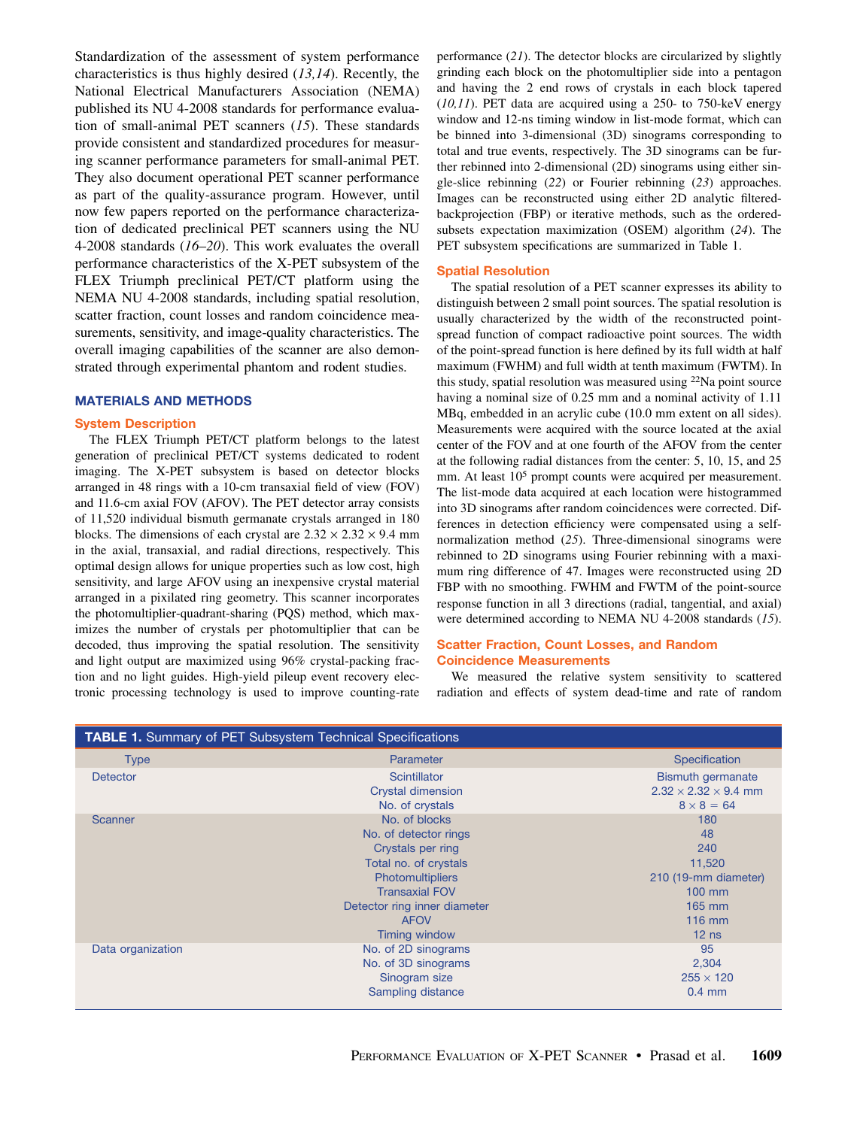Standardization of the assessment of system performance characteristics is thus highly desired (13,14). Recently, the National Electrical Manufacturers Association (NEMA) published its NU 4-2008 standards for performance evaluation of small-animal PET scanners (15). These standards provide consistent and standardized procedures for measuring scanner performance parameters for small-animal PET. They also document operational PET scanner performance as part of the quality-assurance program. However, until now few papers reported on the performance characterization of dedicated preclinical PET scanners using the NU 4-2008 standards (16–20). This work evaluates the overall performance characteristics of the X-PET subsystem of the FLEX Triumph preclinical PET/CT platform using the NEMA NU 4-2008 standards, including spatial resolution, scatter fraction, count losses and random coincidence measurements, sensitivity, and image-quality characteristics. The overall imaging capabilities of the scanner are also demonstrated through experimental phantom and rodent studies.

# MATERIALS AND METHODS

#### System Description

The FLEX Triumph PET/CT platform belongs to the latest generation of preclinical PET/CT systems dedicated to rodent imaging. The X-PET subsystem is based on detector blocks arranged in 48 rings with a 10-cm transaxial field of view (FOV) and 11.6-cm axial FOV (AFOV). The PET detector array consists of 11,520 individual bismuth germanate crystals arranged in 180 blocks. The dimensions of each crystal are  $2.32 \times 2.32 \times 9.4$  mm in the axial, transaxial, and radial directions, respectively. This optimal design allows for unique properties such as low cost, high sensitivity, and large AFOV using an inexpensive crystal material arranged in a pixilated ring geometry. This scanner incorporates the photomultiplier-quadrant-sharing (PQS) method, which maximizes the number of crystals per photomultiplier that can be decoded, thus improving the spatial resolution. The sensitivity and light output are maximized using 96% crystal-packing fraction and no light guides. High-yield pileup event recovery electronic processing technology is used to improve counting-rate

performance (21). The detector blocks are circularized by slightly grinding each block on the photomultiplier side into a pentagon and having the 2 end rows of crystals in each block tapered  $(10,11)$ . PET data are acquired using a 250- to 750-keV energy window and 12-ns timing window in list-mode format, which can be binned into 3-dimensional (3D) sinograms corresponding to total and true events, respectively. The 3D sinograms can be further rebinned into 2-dimensional (2D) sinograms using either single-slice rebinning (22) or Fourier rebinning (23) approaches. Images can be reconstructed using either 2D analytic filteredbackprojection (FBP) or iterative methods, such as the orderedsubsets expectation maximization (OSEM) algorithm (24). The PET subsystem specifications are summarized in Table 1.

### Spatial Resolution

The spatial resolution of a PET scanner expresses its ability to distinguish between 2 small point sources. The spatial resolution is usually characterized by the width of the reconstructed pointspread function of compact radioactive point sources. The width of the point-spread function is here defined by its full width at half maximum (FWHM) and full width at tenth maximum (FWTM). In this study, spatial resolution was measured using <sup>22</sup>Na point source having a nominal size of 0.25 mm and a nominal activity of 1.11 MBq, embedded in an acrylic cube (10.0 mm extent on all sides). Measurements were acquired with the source located at the axial center of the FOV and at one fourth of the AFOV from the center at the following radial distances from the center: 5, 10, 15, and 25 mm. At least 10<sup>5</sup> prompt counts were acquired per measurement. The list-mode data acquired at each location were histogrammed into 3D sinograms after random coincidences were corrected. Differences in detection efficiency were compensated using a selfnormalization method (25). Three-dimensional sinograms were rebinned to 2D sinograms using Fourier rebinning with a maximum ring difference of 47. Images were reconstructed using 2D FBP with no smoothing. FWHM and FWTM of the point-source response function in all 3 directions (radial, tangential, and axial) were determined according to NEMA NU 4-2008 standards (15).

# Scatter Fraction, Count Losses, and Random Coincidence Measurements

We measured the relative system sensitivity to scattered radiation and effects of system dead-time and rate of random

| <b>TABLE 1.</b> Summary of PET Subsystem Technical Specifications |                              |                                  |  |  |  |  |  |
|-------------------------------------------------------------------|------------------------------|----------------------------------|--|--|--|--|--|
| <b>Type</b>                                                       | Parameter                    | Specification                    |  |  |  |  |  |
| <b>Detector</b>                                                   | Scintillator                 | <b>Bismuth germanate</b>         |  |  |  |  |  |
|                                                                   | <b>Crystal dimension</b>     | $2.32 \times 2.32 \times 9.4$ mm |  |  |  |  |  |
|                                                                   | No. of crystals              | $8 \times 8 = 64$                |  |  |  |  |  |
| Scanner                                                           | No. of blocks                | 180                              |  |  |  |  |  |
|                                                                   | No. of detector rings        | 48                               |  |  |  |  |  |
|                                                                   | Crystals per ring            | 240                              |  |  |  |  |  |
|                                                                   | Total no. of crystals        | 11,520                           |  |  |  |  |  |
|                                                                   | <b>Photomultipliers</b>      | 210 (19-mm diameter)             |  |  |  |  |  |
|                                                                   | <b>Transaxial FOV</b>        | 100 mm                           |  |  |  |  |  |
|                                                                   | Detector ring inner diameter | 165 mm                           |  |  |  |  |  |
|                                                                   | <b>AFOV</b>                  | 116 mm                           |  |  |  |  |  |
|                                                                   | <b>Timing window</b>         | $12$ ns                          |  |  |  |  |  |
| Data organization                                                 | No. of 2D sinograms          | 95                               |  |  |  |  |  |
|                                                                   | No. of 3D sinograms          | 2,304                            |  |  |  |  |  |
|                                                                   | Sinogram size                | $255 \times 120$                 |  |  |  |  |  |
|                                                                   | Sampling distance            | $0.4$ mm                         |  |  |  |  |  |
|                                                                   |                              |                                  |  |  |  |  |  |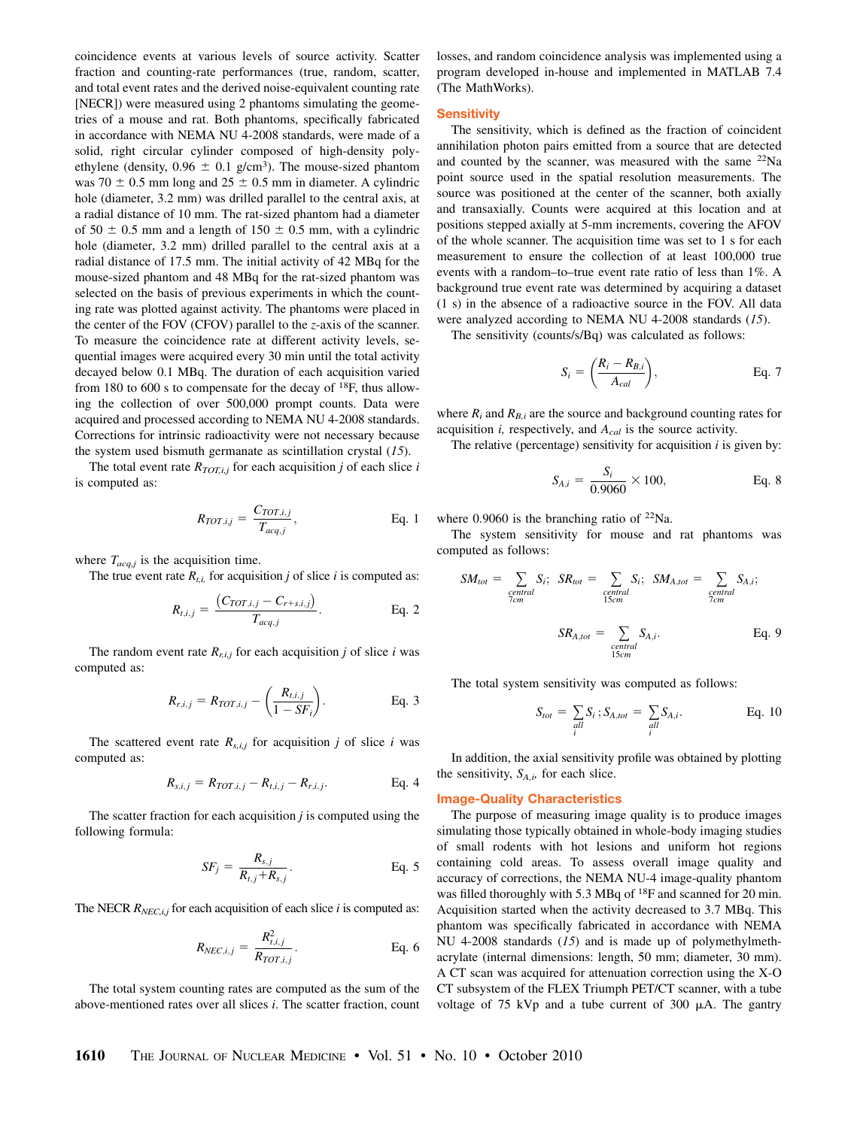coincidence events at various levels of source activity. Scatter fraction and counting-rate performances (true, random, scatter, and total event rates and the derived noise-equivalent counting rate [NECR]) were measured using 2 phantoms simulating the geometries of a mouse and rat. Both phantoms, specifically fabricated in accordance with NEMA NU 4-2008 standards, were made of a solid, right circular cylinder composed of high-density polyethylene (density,  $0.96 \pm 0.1$  g/cm<sup>3</sup>). The mouse-sized phantom was 70  $\pm$  0.5 mm long and 25  $\pm$  0.5 mm in diameter. A cylindric hole (diameter, 3.2 mm) was drilled parallel to the central axis, at a radial distance of 10 mm. The rat-sized phantom had a diameter of 50  $\pm$  0.5 mm and a length of 150  $\pm$  0.5 mm, with a cylindric hole (diameter, 3.2 mm) drilled parallel to the central axis at a radial distance of 17.5 mm. The initial activity of 42 MBq for the mouse-sized phantom and 48 MBq for the rat-sized phantom was selected on the basis of previous experiments in which the counting rate was plotted against activity. The phantoms were placed in the center of the FOV (CFOV) parallel to the z-axis of the scanner. To measure the coincidence rate at different activity levels, sequential images were acquired every 30 min until the total activity decayed below 0.1 MBq. The duration of each acquisition varied from 180 to 600 s to compensate for the decay of  $^{18}F$ , thus allowing the collection of over 500,000 prompt counts. Data were acquired and processed according to NEMA NU 4-2008 standards. Corrections for intrinsic radioactivity were not necessary because the system used bismuth germanate as scintillation crystal  $(15)$ .

The total event rate  $R_{TOT,i,j}$  for each acquisition j of each slice i is computed as:

$$
R_{TOT,i,j} = \frac{C_{TOT,i,j}}{T_{acq,j}}, \qquad \text{Eq. 1}
$$

where  $T_{acq,i}$  is the acquisition time.

The true event rate  $R_{t,i}$  for acquisition j of slice i is computed as:

$$
R_{t,i,j} = \frac{(C_{TOT,i,j} - C_{r+s,i,j})}{T_{acq,j}}.
$$
 Eq. 2

The random event rate  $R_{r,i,j}$  for each acquisition j of slice i was computed as:

$$
R_{r,i,j} = R_{TOT,i,j} - \left(\frac{R_{t,i,j}}{1 - SF_i}\right).
$$
 Eq. 3

The scattered event rate  $R_{s,i,j}$  for acquisition j of slice i was computed as:

$$
R_{s,i,j} = R_{TOT,i,j} - R_{t,i,j} - R_{r,i,j}.
$$
 Eq. 4

The scatter fraction for each acquisition  $j$  is computed using the following formula:

$$
SF_j = \frac{R_{s,j}}{R_{t,j} + R_{s,j}}.
$$
 Eq. 5

The NECR  $R_{NEC,i,j}$  for each acquisition of each slice i is computed as:

$$
R_{NEC,i,j} = \frac{R_{i,i,j}^2}{R_{TOT,i,j}}.
$$
 Eq. 6

The total system counting rates are computed as the sum of the above-mentioned rates over all slices i. The scatter fraction, count losses, and random coincidence analysis was implemented using a program developed in-house and implemented in MATLAB 7.4 (The MathWorks).

#### **Sensitivity**

The sensitivity, which is defined as the fraction of coincident annihilation photon pairs emitted from a source that are detected and counted by the scanner, was measured with the same  $^{22}$ Na point source used in the spatial resolution measurements. The source was positioned at the center of the scanner, both axially and transaxially. Counts were acquired at this location and at positions stepped axially at 5-mm increments, covering the AFOV of the whole scanner. The acquisition time was set to 1 s for each measurement to ensure the collection of at least 100,000 true events with a random–to–true event rate ratio of less than 1%. A background true event rate was determined by acquiring a dataset (1 s) in the absence of a radioactive source in the FOV. All data were analyzed according to NEMA NU 4-2008 standards (15).

The sensitivity (counts/s/Bq) was calculated as follows:

$$
S_i = \left(\frac{R_i - R_{B,i}}{A_{cal}}\right), \qquad \text{Eq. 7}
$$

where  $R_i$  and  $R_{B,i}$  are the source and background counting rates for acquisition  $i$ , respectively, and  $A_{cal}$  is the source activity.

The relative (percentage) sensitivity for acquisition  $i$  is given by:

$$
S_{A,i} = \frac{S_i}{0.9060} \times 100, \qquad \text{Eq. 8}
$$

where  $0.9060$  is the branching ratio of  $22\text{Na}$ .

The system sensitivity for mouse and rat phantoms was computed as follows:

$$
SM_{tot} = \sum_{\substack{central \text{central} \\ form}} S_i; \quad SR_{tot} = \sum_{\substack{central \\ 15cm}} S_i; \quad SM_{A,tot} = \sum_{\substack{central \\ form \\ termal}} S_{A,i};
$$

$$
SR_{A,tot} = \sum_{\substack{central \\ central \\ 15cm}} S_{A,i}. \quad \text{Eq. 9}
$$

The total system sensitivity was computed as follows:

$$
S_{tot} = \sum_{all} S_i \, ; S_{A, tot} = \sum_{all} S_{A,i}.
$$
 Eq. 10

In addition, the axial sensitivity profile was obtained by plotting the sensitivity,  $S_{A,i}$ , for each slice.

#### Image-Quality Characteristics

The purpose of measuring image quality is to produce images simulating those typically obtained in whole-body imaging studies of small rodents with hot lesions and uniform hot regions containing cold areas. To assess overall image quality and accuracy of corrections, the NEMA NU-4 image-quality phantom was filled thoroughly with 5.3 MBq of <sup>18</sup>F and scanned for 20 min. Acquisition started when the activity decreased to 3.7 MBq. This phantom was specifically fabricated in accordance with NEMA NU 4-2008 standards (15) and is made up of polymethylmethacrylate (internal dimensions: length, 50 mm; diameter, 30 mm). A CT scan was acquired for attenuation correction using the X-O CT subsystem of the FLEX Triumph PET/CT scanner, with a tube voltage of 75 kVp and a tube current of 300  $\mu$ A. The gantry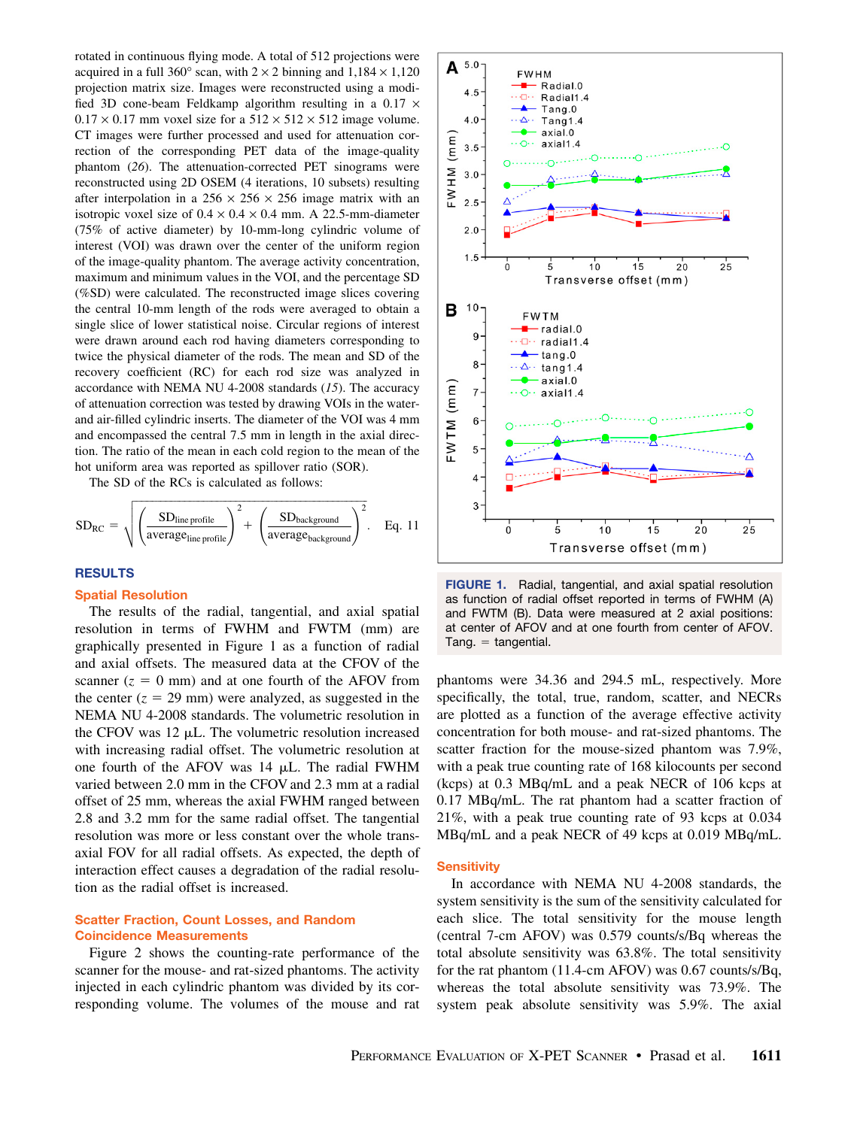rotated in continuous flying mode. A total of 512 projections were acquired in a full 360° scan, with  $2 \times 2$  binning and  $1,184 \times 1,120$ projection matrix size. Images were reconstructed using a modified 3D cone-beam Feldkamp algorithm resulting in a 0.17  $\times$  $0.17 \times 0.17$  mm voxel size for a  $512 \times 512 \times 512$  image volume. CT images were further processed and used for attenuation correction of the corresponding PET data of the image-quality phantom (26). The attenuation-corrected PET sinograms were reconstructed using 2D OSEM (4 iterations, 10 subsets) resulting after interpolation in a  $256 \times 256 \times 256$  image matrix with an isotropic voxel size of  $0.4 \times 0.4 \times 0.4$  mm. A 22.5-mm-diameter (75% of active diameter) by 10-mm-long cylindric volume of interest (VOI) was drawn over the center of the uniform region of the image-quality phantom. The average activity concentration, maximum and minimum values in the VOI, and the percentage SD (%SD) were calculated. The reconstructed image slices covering the central 10-mm length of the rods were averaged to obtain a single slice of lower statistical noise. Circular regions of interest were drawn around each rod having diameters corresponding to twice the physical diameter of the rods. The mean and SD of the recovery coefficient (RC) for each rod size was analyzed in accordance with NEMA NU 4-2008 standards (15). The accuracy of attenuation correction was tested by drawing VOIs in the waterand air-filled cylindric inserts. The diameter of the VOI was 4 mm and encompassed the central 7.5 mm in length in the axial direction. The ratio of the mean in each cold region to the mean of the hot uniform area was reported as spillover ratio (SOR).

The SD of the RCs is calculated as follows:

$$
SD_{RC} = \sqrt{\left(\frac{SD_{line\,profile}}{average_{line\,profile}}\right)^2 + \left(\frac{SD_{background}}{average_{background}}\right)^2}. \quad Eq.~11
$$

## **RESULTS**

# Spatial Resolution

The results of the radial, tangential, and axial spatial resolution in terms of FWHM and FWTM (mm) are graphically presented in Figure 1 as a function of radial and axial offsets. The measured data at the CFOV of the scanner  $(z = 0$  mm) and at one fourth of the AFOV from the center  $(z = 29 \text{ mm})$  were analyzed, as suggested in the NEMA NU 4-2008 standards. The volumetric resolution in the CFOV was  $12 \mu L$ . The volumetric resolution increased with increasing radial offset. The volumetric resolution at one fourth of the AFOV was 14 mL. The radial FWHM varied between 2.0 mm in the CFOV and 2.3 mm at a radial offset of 25 mm, whereas the axial FWHM ranged between 2.8 and 3.2 mm for the same radial offset. The tangential resolution was more or less constant over the whole transaxial FOV for all radial offsets. As expected, the depth of interaction effect causes a degradation of the radial resolution as the radial offset is increased.

# Scatter Fraction, Count Losses, and Random Coincidence Measurements

Figure 2 shows the counting-rate performance of the scanner for the mouse- and rat-sized phantoms. The activity injected in each cylindric phantom was divided by its corresponding volume. The volumes of the mouse and rat



FIGURE 1. Radial, tangential, and axial spatial resolution as function of radial offset reported in terms of FWHM (A) and FWTM (B). Data were measured at 2 axial positions: at center of AFOV and at one fourth from center of AFOV.  $Tang. = tangential.$ 

phantoms were 34.36 and 294.5 mL, respectively. More specifically, the total, true, random, scatter, and NECRs are plotted as a function of the average effective activity concentration for both mouse- and rat-sized phantoms. The scatter fraction for the mouse-sized phantom was 7.9%, with a peak true counting rate of 168 kilocounts per second (kcps) at 0.3 MBq/mL and a peak NECR of 106 kcps at 0.17 MBq/mL. The rat phantom had a scatter fraction of 21%, with a peak true counting rate of 93 kcps at 0.034 MBq/mL and a peak NECR of 49 kcps at 0.019 MBq/mL.

# **Sensitivity**

In accordance with NEMA NU 4-2008 standards, the system sensitivity is the sum of the sensitivity calculated for each slice. The total sensitivity for the mouse length (central 7-cm AFOV) was 0.579 counts/s/Bq whereas the total absolute sensitivity was 63.8%. The total sensitivity for the rat phantom (11.4-cm AFOV) was 0.67 counts/s/Bq, whereas the total absolute sensitivity was 73.9%. The system peak absolute sensitivity was 5.9%. The axial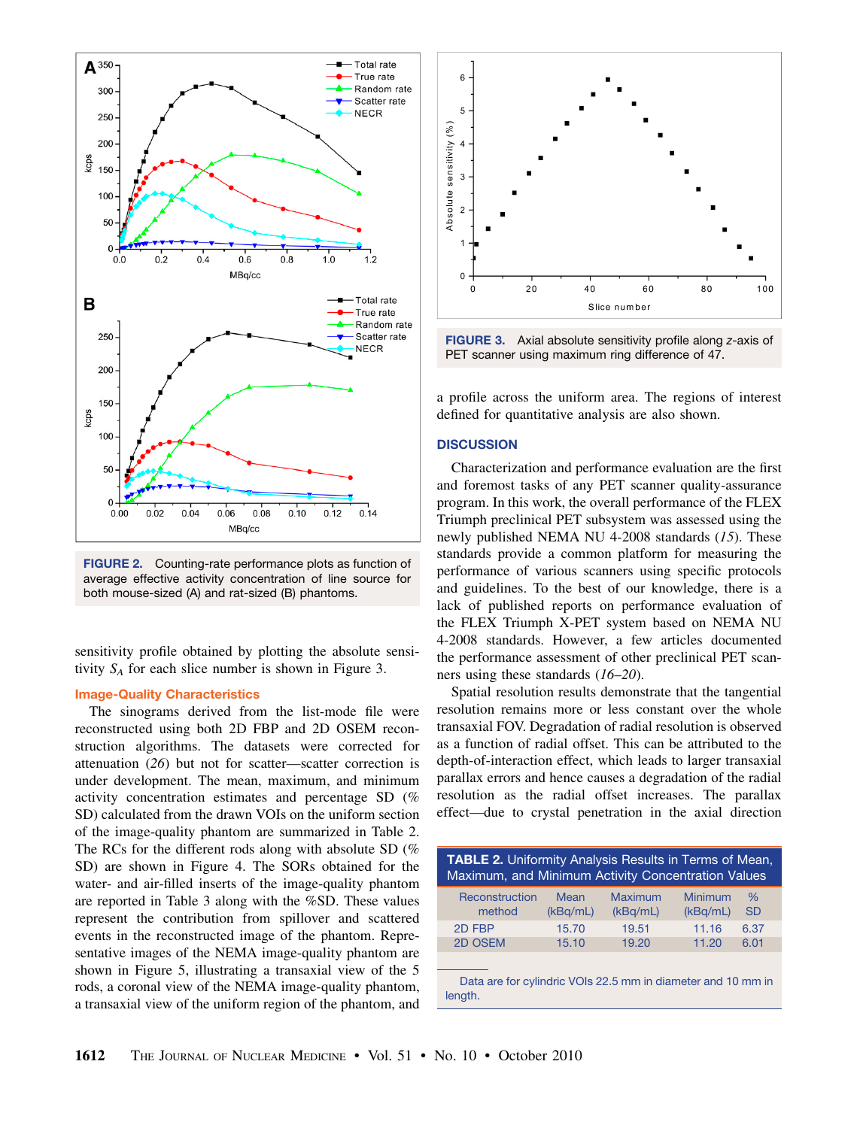

FIGURE 2. Counting-rate performance plots as function of average effective activity concentration of line source for both mouse-sized (A) and rat-sized (B) phantoms.

sensitivity profile obtained by plotting the absolute sensitivity  $S_A$  for each slice number is shown in Figure 3.

# Image-Quality Characteristics

The sinograms derived from the list-mode file were reconstructed using both 2D FBP and 2D OSEM reconstruction algorithms. The datasets were corrected for attenuation (26) but not for scatter—scatter correction is under development. The mean, maximum, and minimum activity concentration estimates and percentage SD (% SD) calculated from the drawn VOIs on the uniform section of the image-quality phantom are summarized in Table 2. The RCs for the different rods along with absolute SD (% SD) are shown in Figure 4. The SORs obtained for the water- and air-filled inserts of the image-quality phantom are reported in Table 3 along with the %SD. These values represent the contribution from spillover and scattered events in the reconstructed image of the phantom. Representative images of the NEMA image-quality phantom are shown in Figure 5, illustrating a transaxial view of the 5 rods, a coronal view of the NEMA image-quality phantom, a transaxial view of the uniform region of the phantom, and



FIGURE 3. Axial absolute sensitivity profile along *z*-axis of PET scanner using maximum ring difference of 47.

a profile across the uniform area. The regions of interest defined for quantitative analysis are also shown.

# **DISCUSSION**

Characterization and performance evaluation are the first and foremost tasks of any PET scanner quality-assurance program. In this work, the overall performance of the FLEX Triumph preclinical PET subsystem was assessed using the newly published NEMA NU 4-2008 standards (15). These standards provide a common platform for measuring the performance of various scanners using specific protocols and guidelines. To the best of our knowledge, there is a lack of published reports on performance evaluation of the FLEX Triumph X-PET system based on NEMA NU 4-2008 standards. However, a few articles documented the performance assessment of other preclinical PET scanners using these standards (16–20).

Spatial resolution results demonstrate that the tangential resolution remains more or less constant over the whole transaxial FOV. Degradation of radial resolution is observed as a function of radial offset. This can be attributed to the depth-of-interaction effect, which leads to larger transaxial parallax errors and hence causes a degradation of the radial resolution as the radial offset increases. The parallax effect—due to crystal penetration in the axial direction

| <b>TABLE 2.</b> Uniformity Analysis Results in Terms of Mean,<br>Maximum, and Minimum Activity Concentration Values |          |          |          |           |  |  |  |  |
|---------------------------------------------------------------------------------------------------------------------|----------|----------|----------|-----------|--|--|--|--|
| Reconstruction                                                                                                      | Mean     | Maximum  | Minimum  | $\%$      |  |  |  |  |
| method                                                                                                              | (kBq/mL) | (kBq/mL) | (kBq/mL) | <b>SD</b> |  |  |  |  |
| 2D FBP                                                                                                              | 15.70    | 19.51    | 11.16    | 6.37      |  |  |  |  |
| 2D OSEM                                                                                                             | 15.10    | 19.20    | 11.20    | 6.01      |  |  |  |  |
| Data are for cylindric VOIs 22.5 mm in diameter and 10 mm in<br>length.                                             |          |          |          |           |  |  |  |  |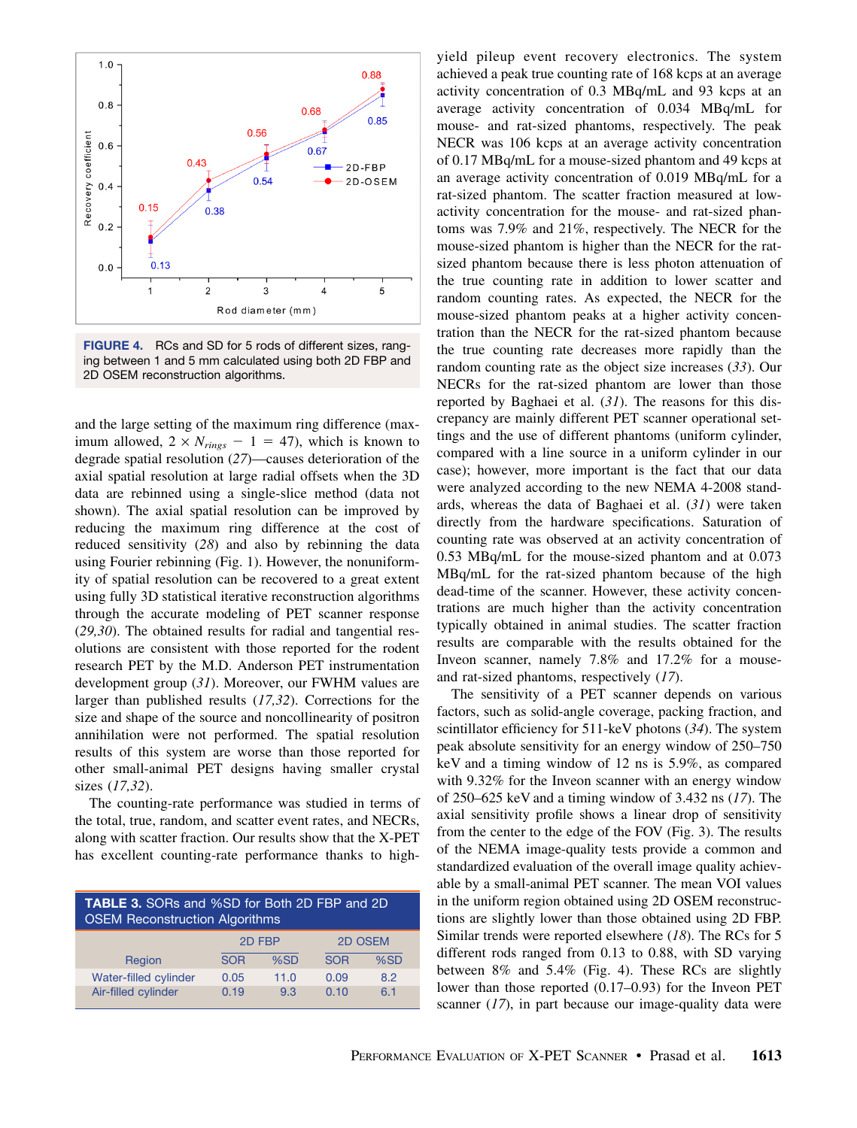

FIGURE 4. RCs and SD for 5 rods of different sizes, ranging between 1 and 5 mm calculated using both 2D FBP and 2D OSEM reconstruction algorithms.

and the large setting of the maximum ring difference (maximum allowed,  $2 \times N_{rings} - 1 = 47$ ), which is known to degrade spatial resolution (27)—causes deterioration of the axial spatial resolution at large radial offsets when the 3D data are rebinned using a single-slice method (data not shown). The axial spatial resolution can be improved by reducing the maximum ring difference at the cost of reduced sensitivity (28) and also by rebinning the data using Fourier rebinning (Fig. 1). However, the nonuniformity of spatial resolution can be recovered to a great extent using fully 3D statistical iterative reconstruction algorithms through the accurate modeling of PET scanner response (29,30). The obtained results for radial and tangential resolutions are consistent with those reported for the rodent research PET by the M.D. Anderson PET instrumentation development group (31). Moreover, our FWHM values are larger than published results (17,32). Corrections for the size and shape of the source and noncollinearity of positron annihilation were not performed. The spatial resolution results of this system are worse than those reported for other small-animal PET designs having smaller crystal sizes (17,32).

The counting-rate performance was studied in terms of the total, true, random, and scatter event rates, and NECRs, along with scatter fraction. Our results show that the X-PET has excellent counting-rate performance thanks to high-

| <b>TABLE 3.</b> SORs and %SD for Both 2D FBP and 2D<br><b>OSEM Reconstruction Algorithms</b> |            |      |            |     |  |  |  |  |
|----------------------------------------------------------------------------------------------|------------|------|------------|-----|--|--|--|--|
|                                                                                              | 2D FBP     |      | 2D OSEM    |     |  |  |  |  |
| Region                                                                                       | <b>SOR</b> | %SD  | <b>SOR</b> | %SD |  |  |  |  |
| Water-filled cylinder                                                                        | 0.05       | 11.0 | 0.09       | 8.2 |  |  |  |  |
| Air-filled cylinder                                                                          | 0.19       | 9.3  | 0.10       | 6.1 |  |  |  |  |

yield pileup event recovery electronics. The system achieved a peak true counting rate of 168 kcps at an average activity concentration of 0.3 MBq/mL and 93 kcps at an average activity concentration of 0.034 MBq/mL for mouse- and rat-sized phantoms, respectively. The peak NECR was 106 kcps at an average activity concentration of 0.17 MBq/mL for a mouse-sized phantom and 49 kcps at an average activity concentration of 0.019 MBq/mL for a rat-sized phantom. The scatter fraction measured at lowactivity concentration for the mouse- and rat-sized phantoms was 7.9% and 21%, respectively. The NECR for the mouse-sized phantom is higher than the NECR for the ratsized phantom because there is less photon attenuation of the true counting rate in addition to lower scatter and random counting rates. As expected, the NECR for the mouse-sized phantom peaks at a higher activity concentration than the NECR for the rat-sized phantom because the true counting rate decreases more rapidly than the random counting rate as the object size increases (33). Our NECRs for the rat-sized phantom are lower than those reported by Baghaei et al. (31). The reasons for this discrepancy are mainly different PET scanner operational settings and the use of different phantoms (uniform cylinder, compared with a line source in a uniform cylinder in our case); however, more important is the fact that our data were analyzed according to the new NEMA 4-2008 standards, whereas the data of Baghaei et al.  $(31)$  were taken directly from the hardware specifications. Saturation of counting rate was observed at an activity concentration of 0.53 MBq/mL for the mouse-sized phantom and at 0.073 MBq/mL for the rat-sized phantom because of the high dead-time of the scanner. However, these activity concentrations are much higher than the activity concentration typically obtained in animal studies. The scatter fraction results are comparable with the results obtained for the Inveon scanner, namely 7.8% and 17.2% for a mouseand rat-sized phantoms, respectively (17).

The sensitivity of a PET scanner depends on various factors, such as solid-angle coverage, packing fraction, and scintillator efficiency for 511-keV photons (34). The system peak absolute sensitivity for an energy window of 250–750 keV and a timing window of 12 ns is 5.9%, as compared with 9.32% for the Inveon scanner with an energy window of 250–625 keV and a timing window of 3.432 ns  $(17)$ . The axial sensitivity profile shows a linear drop of sensitivity from the center to the edge of the FOV (Fig. 3). The results of the NEMA image-quality tests provide a common and standardized evaluation of the overall image quality achievable by a small-animal PET scanner. The mean VOI values in the uniform region obtained using 2D OSEM reconstructions are slightly lower than those obtained using 2D FBP. Similar trends were reported elsewhere (18). The RCs for 5 different rods ranged from 0.13 to 0.88, with SD varying between 8% and 5.4% (Fig. 4). These RCs are slightly lower than those reported (0.17–0.93) for the Inveon PET scanner  $(17)$ , in part because our image-quality data were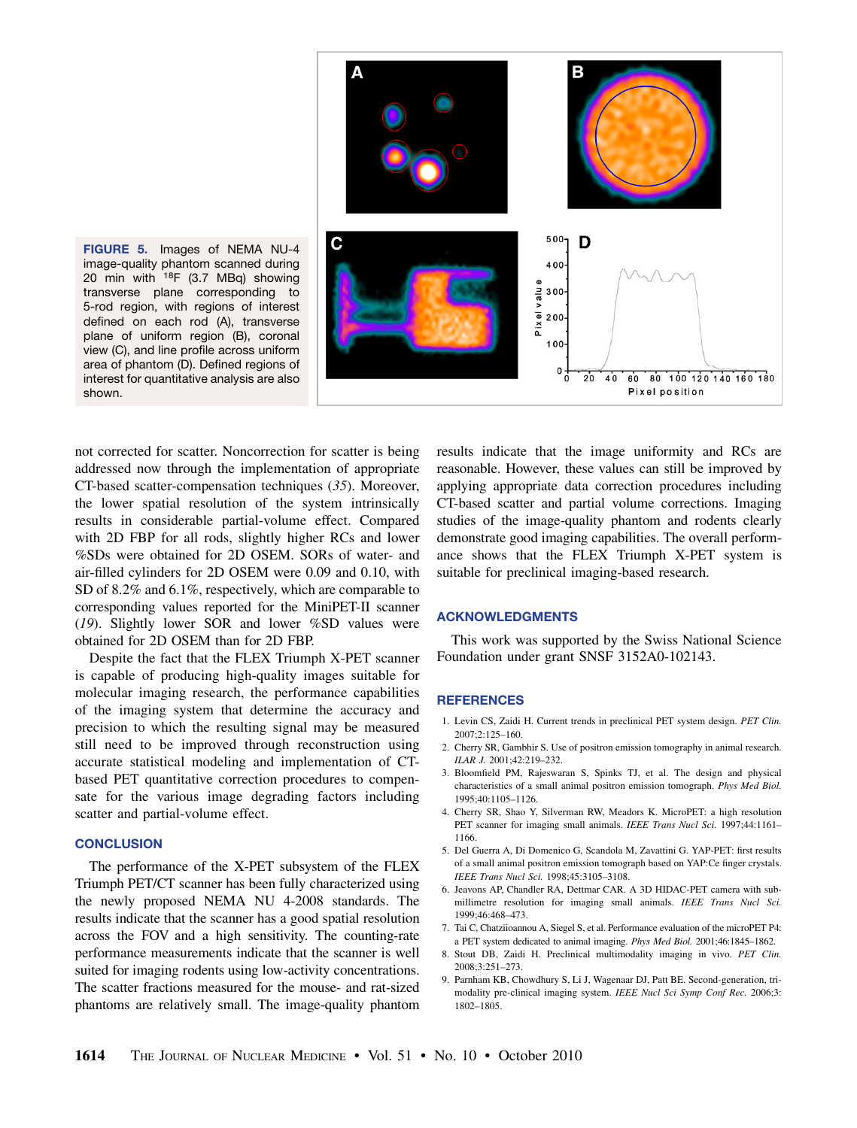

FIGURE 5. Images of NEMA NU-4 image-quality phantom scanned during 20 min with 18F (3.7 MBq) showing transverse plane corresponding to 5-rod region, with regions of interest defined on each rod (A), transverse plane of uniform region (B), coronal view (C), and line profile across uniform area of phantom (D). Defined regions of interest for quantitative analysis are also shown.

not corrected for scatter. Noncorrection for scatter is being addressed now through the implementation of appropriate CT-based scatter-compensation techniques (35). Moreover, the lower spatial resolution of the system intrinsically results in considerable partial-volume effect. Compared with 2D FBP for all rods, slightly higher RCs and lower %SDs were obtained for 2D OSEM. SORs of water- and air-filled cylinders for 2D OSEM were 0.09 and 0.10, with SD of 8.2% and 6.1%, respectively, which are comparable to corresponding values reported for the MiniPET-II scanner (19). Slightly lower SOR and lower %SD values were obtained for 2D OSEM than for 2D FBP.

Despite the fact that the FLEX Triumph X-PET scanner is capable of producing high-quality images suitable for molecular imaging research, the performance capabilities of the imaging system that determine the accuracy and precision to which the resulting signal may be measured still need to be improved through reconstruction using accurate statistical modeling and implementation of CTbased PET quantitative correction procedures to compensate for the various image degrading factors including scatter and partial-volume effect.

## **CONCLUSION**

The performance of the X-PET subsystem of the FLEX Triumph PET/CT scanner has been fully characterized using the newly proposed NEMA NU 4-2008 standards. The results indicate that the scanner has a good spatial resolution across the FOV and a high sensitivity. The counting-rate performance measurements indicate that the scanner is well suited for imaging rodents using low-activity concentrations. The scatter fractions measured for the mouse- and rat-sized phantoms are relatively small. The image-quality phantom

results indicate that the image uniformity and RCs are reasonable. However, these values can still be improved by applying appropriate data correction procedures including CT-based scatter and partial volume corrections. Imaging studies of the image-quality phantom and rodents clearly demonstrate good imaging capabilities. The overall performance shows that the FLEX Triumph X-PET system is suitable for preclinical imaging-based research.

## ACKNOWLEDGMENTS

This work was supported by the Swiss National Science Foundation under grant SNSF 3152A0-102143.

### **REFERENCES**

- 1. Levin CS, Zaidi H. Current trends in preclinical PET system design. PET Clin.  $2007 \cdot 2.125 - 160$
- 2. Cherry SR, Gambhir S. Use of positron emission tomography in animal research. ILAR J. 2001;42:219–232.
- 3. Bloomfield PM, Rajeswaran S, Spinks TJ, et al. The design and physical characteristics of a small animal positron emission tomograph. Phys Med Biol. 1995;40:1105–1126.
- 4. Cherry SR, Shao Y, Silverman RW, Meadors K. MicroPET: a high resolution PET scanner for imaging small animals. IEEE Trans Nucl Sci. 1997;44:1161-1166.
- 5. Del Guerra A, Di Domenico G, Scandola M, Zavattini G. YAP-PET: first results of a small animal positron emission tomograph based on YAP:Ce finger crystals. IEEE Trans Nucl Sci. 1998;45:3105–3108.
- 6. Jeavons AP, Chandler RA, Dettmar CAR. A 3D HIDAC-PET camera with submillimetre resolution for imaging small animals. IEEE Trans Nucl Sci. 1999;46:468–473.
- 7. Tai C, Chatziioannou A, Siegel S, et al. Performance evaluation of the microPET P4: a PET system dedicated to animal imaging. Phys Med Biol. 2001;46:1845–1862.
- 8. Stout DB, Zaidi H. Preclinical multimodality imaging in vivo. PET Clin. 2008;3:251–273.
- 9. Parnham KB, Chowdhury S, Li J, Wagenaar DJ, Patt BE. Second-generation, trimodality pre-clinical imaging system. IEEE Nucl Sci Symp Conf Rec. 2006;3: 1802–1805.